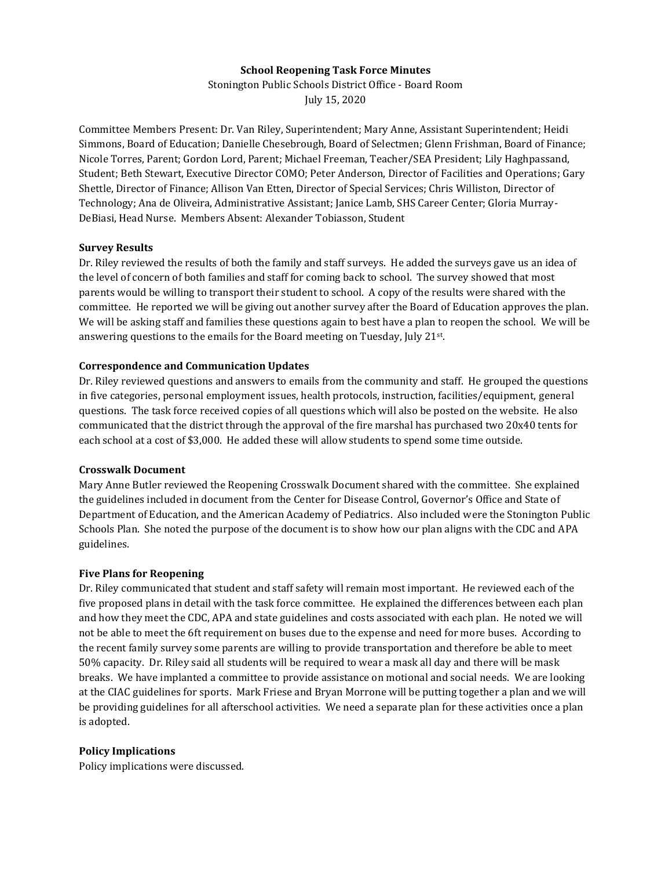# **School Reopening Task Force Minutes**

Stonington Public Schools District Office - Board Room July 15, 2020

Committee Members Present: Dr. Van Riley, Superintendent; Mary Anne, Assistant Superintendent; Heidi Simmons, Board of Education; Danielle Chesebrough, Board of Selectmen; Glenn Frishman, Board of Finance; Nicole Torres, Parent; Gordon Lord, Parent; Michael Freeman, Teacher/SEA President; Lily Haghpassand, Student; Beth Stewart, Executive Director COMO; Peter Anderson, Director of Facilities and Operations; Gary Shettle, Director of Finance; Allison Van Etten, Director of Special Services; Chris Williston, Director of Technology; Ana de Oliveira, Administrative Assistant; Janice Lamb, SHS Career Center; Gloria Murray-DeBiasi, Head Nurse. Members Absent: Alexander Tobiasson, Student

## **Survey Results**

Dr. Riley reviewed the results of both the family and staff surveys. He added the surveys gave us an idea of the level of concern of both families and staff for coming back to school. The survey showed that most parents would be willing to transport their student to school. A copy of the results were shared with the committee. He reported we will be giving out another survey after the Board of Education approves the plan. We will be asking staff and families these questions again to best have a plan to reopen the school. We will be answering questions to the emails for the Board meeting on Tuesday, July 21st.

## **Correspondence and Communication Updates**

Dr. Riley reviewed questions and answers to emails from the community and staff. He grouped the questions in five categories, personal employment issues, health protocols, instruction, facilities/equipment, general questions. The task force received copies of all questions which will also be posted on the website. He also communicated that the district through the approval of the fire marshal has purchased two 20x40 tents for each school at a cost of \$3,000. He added these will allow students to spend some time outside.

#### **Crosswalk Document**

Mary Anne Butler reviewed the Reopening Crosswalk Document shared with the committee. She explained the guidelines included in document from the Center for Disease Control, Governor's Office and State of Department of Education, and the American Academy of Pediatrics. Also included were the Stonington Public Schools Plan. She noted the purpose of the document is to show how our plan aligns with the CDC and APA guidelines.

#### **Five Plans for Reopening**

Dr. Riley communicated that student and staff safety will remain most important. He reviewed each of the five proposed plans in detail with the task force committee. He explained the differences between each plan and how they meet the CDC, APA and state guidelines and costs associated with each plan. He noted we will not be able to meet the 6ft requirement on buses due to the expense and need for more buses. According to the recent family survey some parents are willing to provide transportation and therefore be able to meet 50% capacity. Dr. Riley said all students will be required to wear a mask all day and there will be mask breaks. We have implanted a committee to provide assistance on motional and social needs. We are looking at the CIAC guidelines for sports. Mark Friese and Bryan Morrone will be putting together a plan and we will be providing guidelines for all afterschool activities. We need a separate plan for these activities once a plan is adopted.

#### **Policy Implications**

Policy implications were discussed.